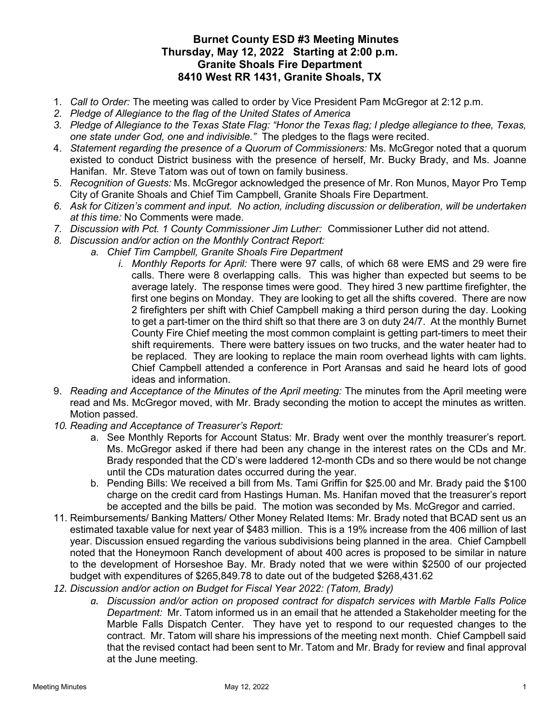## Burnet County ESD #3 Meeting Minutes Thursday, May 12, 2022 Starting at 2:00 p.m. Granite Shoals Fire Department 8410 West RR 1431, Granite Shoals, TX

- 1. Call to Order: The meeting was called to order by Vice President Pam McGregor at 2:12 p.m.
- 2. Pledge of Allegiance to the flag of the United States of America
- 3. Pledge of Allegiance to the Texas State Flag: "Honor the Texas flag; I pledge allegiance to thee, Texas, one state under God, one and indivisible." The pledges to the flags were recited.
- 4. Statement regarding the presence of a Quorum of Commissioners: Ms. McGregor noted that a quorum existed to conduct District business with the presence of herself, Mr. Bucky Brady, and Ms. Joanne Hanifan. Mr. Steve Tatom was out of town on family business.
- 5. Recognition of Guests: Ms. McGregor acknowledged the presence of Mr. Ron Munos, Mayor Pro Temp City of Granite Shoals and Chief Tim Campbell, Granite Shoals Fire Department.
- 6. Ask for Citizen's comment and input. No action, including discussion or deliberation, will be undertaken at this time: No Comments were made.
- 7. Discussion with Pct. 1 County Commissioner Jim Luther: Commissioner Luther did not attend.
- 8. Discussion and/or action on the Monthly Contract Report:
	- a. Chief Tim Campbell, Granite Shoals Fire Department
		- i. Monthly Reports for April: There were 97 calls, of which 68 were EMS and 29 were fire calls. There were 8 overlapping calls. This was higher than expected but seems to be average lately. The response times were good. They hired 3 new parttime firefighter, the first one begins on Monday. They are looking to get all the shifts covered. There are now 2 firefighters per shift with Chief Campbell making a third person during the day. Looking to get a part-timer on the third shift so that there are 3 on duty 24/7. At the monthly Burnet County Fire Chief meeting the most common complaint is getting part-timers to meet their shift requirements. There were battery issues on two trucks, and the water heater had to be replaced. They are looking to replace the main room overhead lights with cam lights. Chief Campbell attended a conference in Port Aransas and said he heard lots of good ideas and information.
- 9. Reading and Acceptance of the Minutes of the April meeting: The minutes from the April meeting were read and Ms. McGregor moved, with Mr. Brady seconding the motion to accept the minutes as written. Motion passed.
- 10. Reading and Acceptance of Treasurer's Report:
	- a. See Monthly Reports for Account Status: Mr. Brady went over the monthly treasurer's report. Ms. McGregor asked if there had been any change in the interest rates on the CDs and Mr. Brady responded that the CD's were laddered 12-month CDs and so there would be not change until the CDs maturation dates occurred during the year.
	- b. Pending Bills: We received a bill from Ms. Tami Griffin for \$25.00 and Mr. Brady paid the \$100 charge on the credit card from Hastings Human. Ms. Hanifan moved that the treasurer's report be accepted and the bills be paid. The motion was seconded by Ms. McGregor and carried.
- 11. Reimbursements/ Banking Matters/ Other Money Related Items: Mr. Brady noted that BCAD sent us an estimated taxable value for next year of \$483 million. This is a 19% increase from the 406 million of last year. Discussion ensued regarding the various subdivisions being planned in the area. Chief Campbell noted that the Honeymoon Ranch development of about 400 acres is proposed to be similar in nature to the development of Horseshoe Bay. Mr. Brady noted that we were within \$2500 of our projected budget with expenditures of \$265,849.78 to date out of the budgeted \$268,431.62
- 12. Discussion and/or action on Budget for Fiscal Year 2022: (Tatom, Brady)
	- a. Discussion and/or action on proposed contract for dispatch services with Marble Falls Police Department: Mr. Tatom informed us in an email that he attended a Stakeholder meeting for the Marble Falls Dispatch Center. They have yet to respond to our requested changes to the contract. Mr. Tatom will share his impressions of the meeting next month. Chief Campbell said that the revised contact had been sent to Mr. Tatom and Mr. Brady for review and final approval at the June meeting.